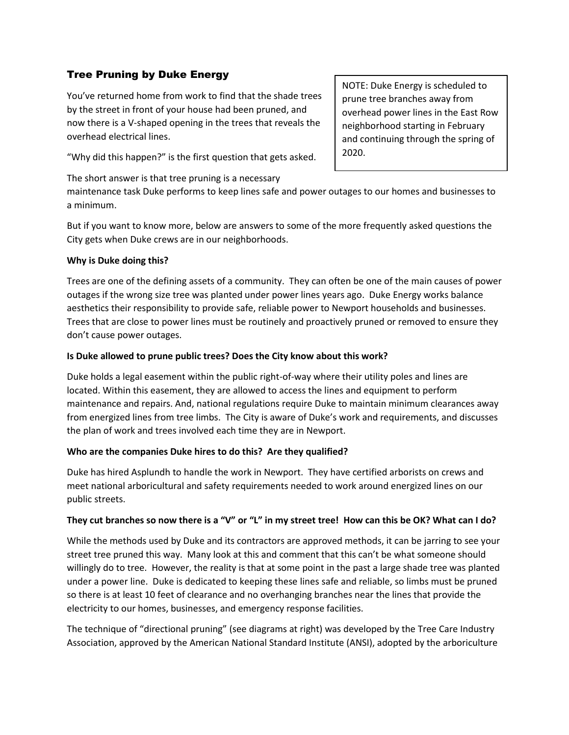# Tree Pruning by Duke Energy

You've returned home from work to find that the shade trees by the street in front of your house had been pruned, and now there is a V-shaped opening in the trees that reveals the overhead electrical lines.

"Why did this happen?" is the first question that gets asked.

The short answer is that tree pruning is a necessary

NOTE: Duke Energy is scheduled to prune tree branches away from overhead power lines in the East Row neighborhood starting in February and continuing through the spring of 2020.

maintenance task Duke performs to keep lines safe and power outages to our homes and businesses to a minimum.

But if you want to know more, below are answers to some of the more frequently asked questions the City gets when Duke crews are in our neighborhoods.

#### **Why is Duke doing this?**

Trees are one of the defining assets of a community. They can often be one of the main causes of power outages if the wrong size tree was planted under power lines years ago. Duke Energy works balance aesthetics their responsibility to provide safe, reliable power to Newport households and businesses. Trees that are close to power lines must be routinely and proactively pruned or removed to ensure they don't cause power outages.

# **Is Duke allowed to prune public trees? Does the City know about this work?**

Duke holds a legal easement within the public right-of-way where their utility poles and lines are located. Within this easement, they are allowed to access the lines and equipment to perform maintenance and repairs. And, national regulations require Duke to maintain minimum clearances away from energized lines from tree limbs. The City is aware of Duke's work and requirements, and discusses the plan of work and trees involved each time they are in Newport.

#### **Who are the companies Duke hires to do this? Are they qualified?**

Duke has hired Asplundh to handle the work in Newport. They have certified arborists on crews and meet national arboricultural and safety requirements needed to work around energized lines on our public streets.

# **They cut branches so now there is a "V" or "L" in my street tree! How can this be OK? What can I do?**

While the methods used by Duke and its contractors are approved methods, it can be jarring to see your street tree pruned this way. Many look at this and comment that this can't be what someone should willingly do to tree. However, the reality is that at some point in the past a large shade tree was planted under a power line. Duke is dedicated to keeping these lines safe and reliable, so limbs must be pruned so there is at least 10 feet of clearance and no overhanging branches near the lines that provide the electricity to our homes, businesses, and emergency response facilities.

The technique of "directional pruning" (see diagrams at right) was developed by the Tree Care Industry Association, approved by the American National Standard Institute (ANSI), adopted by the arboriculture